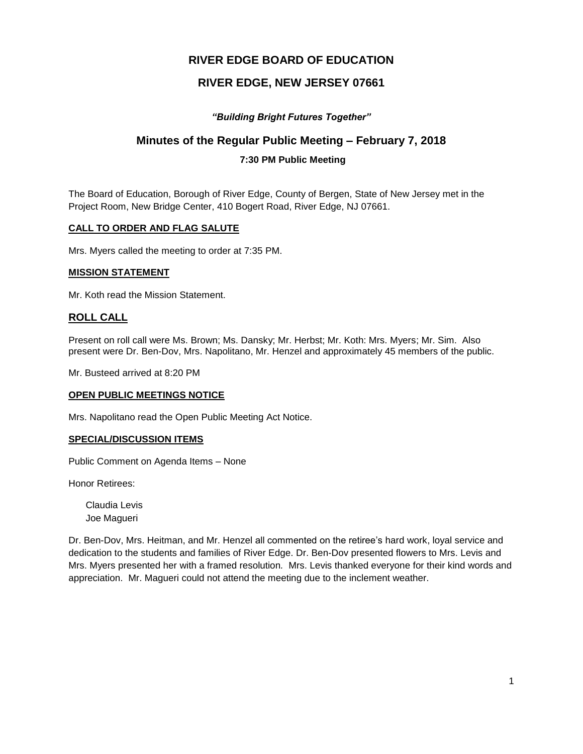# **RIVER EDGE BOARD OF EDUCATION**

# **RIVER EDGE, NEW JERSEY 07661**

# *"Building Bright Futures Together"*

# **Minutes of the Regular Public Meeting – February 7, 2018**

# **7:30 PM Public Meeting**

The Board of Education, Borough of River Edge, County of Bergen, State of New Jersey met in the Project Room, New Bridge Center, 410 Bogert Road, River Edge, NJ 07661.

#### **CALL TO ORDER AND FLAG SALUTE**

Mrs. Myers called the meeting to order at 7:35 PM.

#### **MISSION STATEMENT**

Mr. Koth read the Mission Statement.

# **ROLL CALL**

Present on roll call were Ms. Brown; Ms. Dansky; Mr. Herbst; Mr. Koth: Mrs. Myers; Mr. Sim. Also present were Dr. Ben-Dov, Mrs. Napolitano, Mr. Henzel and approximately 45 members of the public.

Mr. Busteed arrived at 8:20 PM

## **OPEN PUBLIC MEETINGS NOTICE**

Mrs. Napolitano read the Open Public Meeting Act Notice.

#### **SPECIAL/DISCUSSION ITEMS**

Public Comment on Agenda Items – None

Honor Retirees:

Claudia Levis Joe Magueri

Dr. Ben-Dov, Mrs. Heitman, and Mr. Henzel all commented on the retiree's hard work, loyal service and dedication to the students and families of River Edge. Dr. Ben-Dov presented flowers to Mrs. Levis and Mrs. Myers presented her with a framed resolution*.* Mrs. Levis thanked everyone for their kind words and appreciation. Mr. Magueri could not attend the meeting due to the inclement weather.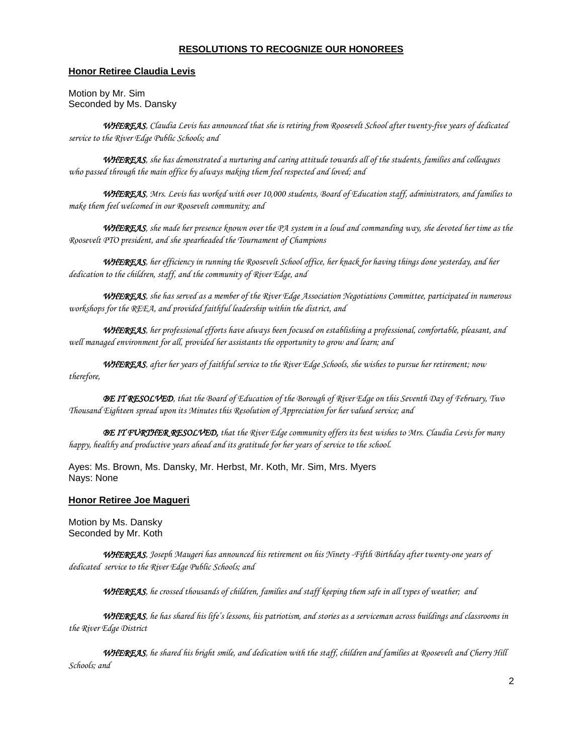#### **RESOLUTIONS TO RECOGNIZE OUR HONOREES**

#### **Honor Retiree Claudia Levis**

Motion by Mr. Sim Seconded by Ms. Dansky

*WHEREAS, Claudia Levis has announced that she is retiring from Roosevelt School after twenty-five years of dedicated service to the River Edge Public Schools; and*

*WHEREAS, she has demonstrated a nurturing and caring attitude towards all of the students, families and colleagues who passed through the main office by always making them feel respected and loved; and*

*WHEREAS, Mrs. Levis has worked with over 10,000 students, Board of Education staff, administrators, and families to make them feel welcomed in our Roosevelt community; and*

*WHEREAS, she made her presence known over the PA system in a loud and commanding way, she devoted her time as the Roosevelt PTO president, and she spearheaded the Tournament of Champions*

*WHEREAS, her efficiency in running the Roosevelt School office, her knack for having things done yesterday, and her dedication to the children, staff, and the community of River Edge, and* 

*WHEREAS, she has served as a member of the River Edge Association Negotiations Committee, participated in numerous workshops for the REEA, and provided faithful leadership within the district, and* 

*WHEREAS, her professional efforts have always been focused on establishing a professional, comfortable, pleasant, and well managed environment for all, provided her assistants the opportunity to grow and learn; and*

*WHEREAS, after her years of faithful service to the River Edge Schools, she wishes to pursue her retirement; now therefore,*

*BE IT RESOLVED, that the Board of Education of the Borough of River Edge on this Seventh Day of February, Two Thousand Eighteen spread upon its Minutes this Resolution of Appreciation for her valued service; and*

*BE IT FURTHER RESOLVED, that the River Edge community offers its best wishes to Mrs. Claudia Levis for many happy, healthy and productive years ahead and its gratitude for her years of service to the school.*

Ayes: Ms. Brown, Ms. Dansky, Mr. Herbst, Mr. Koth, Mr. Sim, Mrs. Myers Nays: None

#### **Honor Retiree Joe Magueri**

Motion by Ms. Dansky Seconded by Mr. Koth

*WHEREAS, Joseph Maugeri has announced his retirement on his Ninety -Fifth Birthday after twenty-one years of dedicated service to the River Edge Public Schools; and*

*WHEREAS, he crossed thousands of children, families and staff keeping them safe in all types of weather; and*

*WHEREAS, he has shared his life's lessons, his patriotism, and stories as a serviceman across buildings and classrooms in the River Edge District* 

*WHEREAS, he shared his bright smile, and dedication with the staff, children and families at Roosevelt and Cherry Hill Schools; and*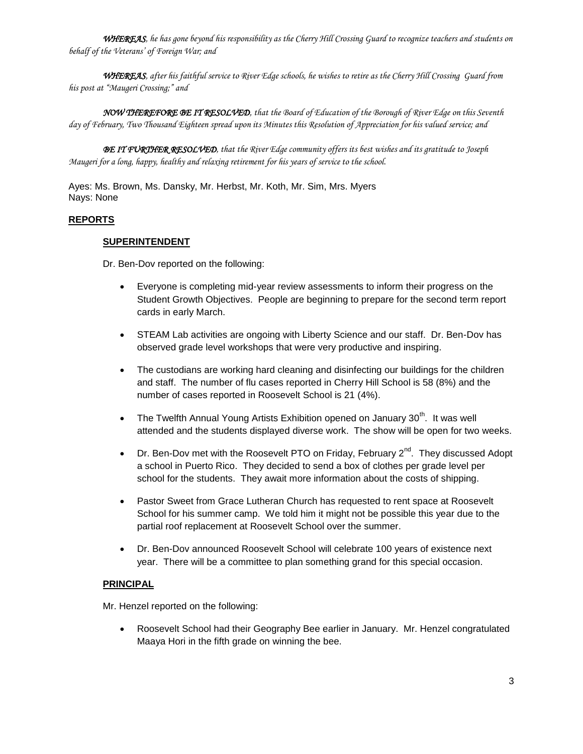*WHEREAS, he has gone beyond his responsibility as the Cherry Hill Crossing Guard to recognize teachers and students on behalf of the Veterans' of Foreign War; and*

*WHEREAS, after his faithful service to River Edge schools, he wishes to retire as the Cherry Hill Crossing Guard from his post at "Maugeri Crossing;" and*

*NOW THEREFORE BE IT RESOLVED, that the Board of Education of the Borough of River Edge on this Seventh day of February, Two Thousand Eighteen spread upon its Minutes this Resolution of Appreciation for his valued service; and*

*BE IT FURTHER RESOLVED, that the River Edge community offers its best wishes and its gratitude to Joseph Maugeri for a long, happy, healthy and relaxing retirement for his years of service to the school.* 

Ayes: Ms. Brown, Ms. Dansky, Mr. Herbst, Mr. Koth, Mr. Sim, Mrs. Myers Nays: None

# **REPORTS**

## **SUPERINTENDENT**

Dr. Ben-Dov reported on the following:

- Everyone is completing mid-year review assessments to inform their progress on the Student Growth Objectives. People are beginning to prepare for the second term report cards in early March.
- STEAM Lab activities are ongoing with Liberty Science and our staff. Dr. Ben-Dov has observed grade level workshops that were very productive and inspiring.
- The custodians are working hard cleaning and disinfecting our buildings for the children and staff. The number of flu cases reported in Cherry Hill School is 58 (8%) and the number of cases reported in Roosevelt School is 21 (4%).
- The Twelfth Annual Young Artists Exhibition opened on January  $30<sup>th</sup>$ . It was well attended and the students displayed diverse work. The show will be open for two weeks.
- Dr. Ben-Dov met with the Roosevelt PTO on Friday, February  $2^{nd}$ . They discussed Adopt a school in Puerto Rico. They decided to send a box of clothes per grade level per school for the students. They await more information about the costs of shipping.
- Pastor Sweet from Grace Lutheran Church has requested to rent space at Roosevelt School for his summer camp. We told him it might not be possible this year due to the partial roof replacement at Roosevelt School over the summer.
- Dr. Ben-Dov announced Roosevelt School will celebrate 100 years of existence next year. There will be a committee to plan something grand for this special occasion.

## **PRINCIPAL**

Mr. Henzel reported on the following:

 Roosevelt School had their Geography Bee earlier in January. Mr. Henzel congratulated Maaya Hori in the fifth grade on winning the bee.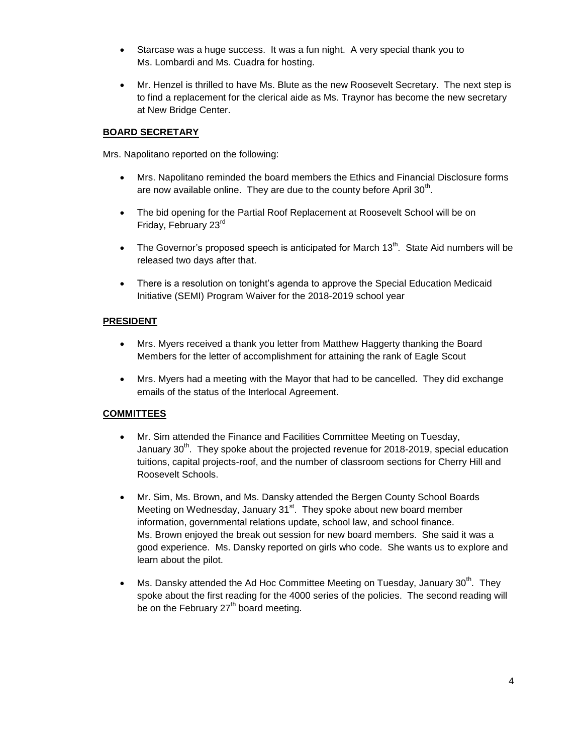- Starcase was a huge success. It was a fun night. A very special thank you to Ms. Lombardi and Ms. Cuadra for hosting.
- Mr. Henzel is thrilled to have Ms. Blute as the new Roosevelt Secretary. The next step is to find a replacement for the clerical aide as Ms. Traynor has become the new secretary at New Bridge Center.

### **BOARD SECRETARY**

Mrs. Napolitano reported on the following:

- Mrs. Napolitano reminded the board members the Ethics and Financial Disclosure forms are now available online. They are due to the county before April 30<sup>th</sup>.
- The bid opening for the Partial Roof Replacement at Roosevelt School will be on Friday, February 23rd
- The Governor's proposed speech is anticipated for March  $13<sup>th</sup>$ . State Aid numbers will be released two days after that.
- There is a resolution on tonight's agenda to approve the Special Education Medicaid Initiative (SEMI) Program Waiver for the 2018-2019 school year

#### **PRESIDENT**

- Mrs. Myers received a thank you letter from Matthew Haggerty thanking the Board Members for the letter of accomplishment for attaining the rank of Eagle Scout
- Mrs. Myers had a meeting with the Mayor that had to be cancelled. They did exchange emails of the status of the Interlocal Agreement.

## **COMMITTEES**

- Mr. Sim attended the Finance and Facilities Committee Meeting on Tuesday, January  $30<sup>th</sup>$ . They spoke about the projected revenue for 2018-2019, special education tuitions, capital projects-roof, and the number of classroom sections for Cherry Hill and Roosevelt Schools.
- Mr. Sim, Ms. Brown, and Ms. Dansky attended the Bergen County School Boards Meeting on Wednesday, January 31<sup>st</sup>. They spoke about new board member information, governmental relations update, school law, and school finance. Ms. Brown enjoyed the break out session for new board members. She said it was a good experience. Ms. Dansky reported on girls who code. She wants us to explore and learn about the pilot.
- Ms. Dansky attended the Ad Hoc Committee Meeting on Tuesday, January 30<sup>th</sup>. They spoke about the first reading for the 4000 series of the policies. The second reading will be on the February 27<sup>th</sup> board meeting.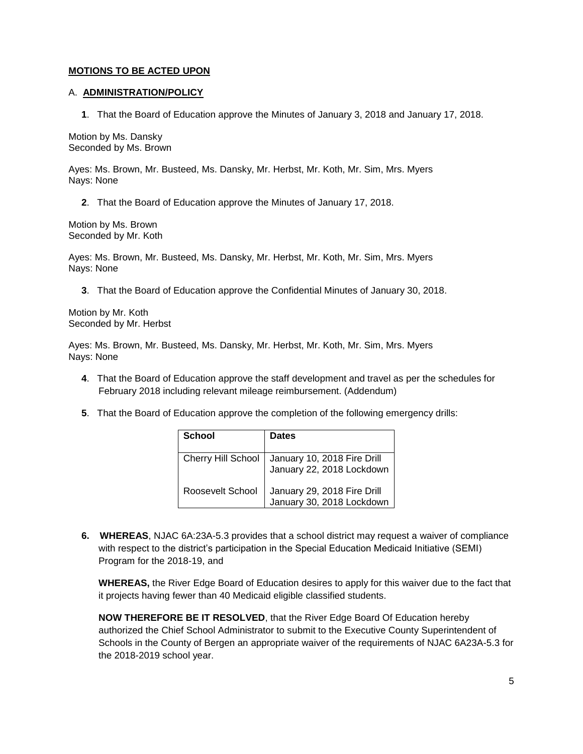#### **MOTIONS TO BE ACTED UPON**

#### A. **ADMINISTRATION/POLICY**

**1**. That the Board of Education approve the Minutes of January 3, 2018 and January 17, 2018.

Motion by Ms. Dansky Seconded by Ms. Brown

Ayes: Ms. Brown, Mr. Busteed, Ms. Dansky, Mr. Herbst, Mr. Koth, Mr. Sim, Mrs. Myers Nays: None

**2**. That the Board of Education approve the Minutes of January 17, 2018.

Motion by Ms. Brown Seconded by Mr. Koth

Ayes: Ms. Brown, Mr. Busteed, Ms. Dansky, Mr. Herbst, Mr. Koth, Mr. Sim, Mrs. Myers Nays: None

**3**. That the Board of Education approve the Confidential Minutes of January 30, 2018.

Motion by Mr. Koth Seconded by Mr. Herbst

Ayes: Ms. Brown, Mr. Busteed, Ms. Dansky, Mr. Herbst, Mr. Koth, Mr. Sim, Mrs. Myers Nays: None

- **4**. That the Board of Education approve the staff development and travel as per the schedules for February 2018 including relevant mileage reimbursement. (Addendum)
- **5**. That the Board of Education approve the completion of the following emergency drills:

| <b>School</b>             | <b>Dates</b>                                             |
|---------------------------|----------------------------------------------------------|
| <b>Cherry Hill School</b> | January 10, 2018 Fire Drill<br>January 22, 2018 Lockdown |
| Roosevelt School          | January 29, 2018 Fire Drill<br>January 30, 2018 Lockdown |

**6. WHEREAS**, NJAC 6A:23A-5.3 provides that a school district may request a waiver of compliance with respect to the district's participation in the Special Education Medicaid Initiative (SEMI) Program for the 2018-19, and

**WHEREAS,** the River Edge Board of Education desires to apply for this waiver due to the fact that it projects having fewer than 40 Medicaid eligible classified students.

**NOW THEREFORE BE IT RESOLVED**, that the River Edge Board Of Education hereby authorized the Chief School Administrator to submit to the Executive County Superintendent of Schools in the County of Bergen an appropriate waiver of the requirements of NJAC 6A23A-5.3 for the 2018-2019 school year.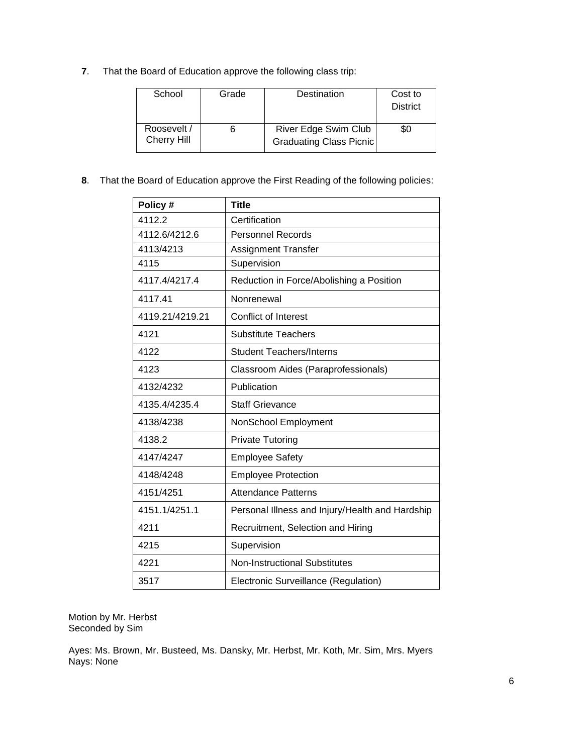**7**. That the Board of Education approve the following class trip:

| School                     | Grade | Destination                                     | Cost to<br><b>District</b> |
|----------------------------|-------|-------------------------------------------------|----------------------------|
| Roosevelt /<br>Cherry Hill |       | River Edge Swim Club<br>Graduating Class Picnic | \$0                        |

**8**. That the Board of Education approve the First Reading of the following policies:

| Policy #        | <b>Title</b>                                    |
|-----------------|-------------------------------------------------|
| 4112.2          | Certification                                   |
| 4112.6/4212.6   | <b>Personnel Records</b>                        |
| 4113/4213       | <b>Assignment Transfer</b>                      |
| 4115            | Supervision                                     |
| 4117.4/4217.4   | Reduction in Force/Abolishing a Position        |
| 4117.41         | Nonrenewal                                      |
| 4119.21/4219.21 | <b>Conflict of Interest</b>                     |
| 4121            | <b>Substitute Teachers</b>                      |
| 4122            | <b>Student Teachers/Interns</b>                 |
| 4123            | Classroom Aides (Paraprofessionals)             |
| 4132/4232       | Publication                                     |
| 4135.4/4235.4   | <b>Staff Grievance</b>                          |
| 4138/4238       | NonSchool Employment                            |
| 4138.2          | <b>Private Tutoring</b>                         |
| 4147/4247       | <b>Employee Safety</b>                          |
| 4148/4248       | <b>Employee Protection</b>                      |
| 4151/4251       | <b>Attendance Patterns</b>                      |
| 4151.1/4251.1   | Personal Illness and Injury/Health and Hardship |
| 4211            | Recruitment, Selection and Hiring               |
| 4215            | Supervision                                     |
| 4221            | <b>Non-Instructional Substitutes</b>            |
| 3517            | Electronic Surveillance (Regulation)            |

Motion by Mr. Herbst Seconded by Sim

Ayes: Ms. Brown, Mr. Busteed, Ms. Dansky, Mr. Herbst, Mr. Koth, Mr. Sim, Mrs. Myers Nays: None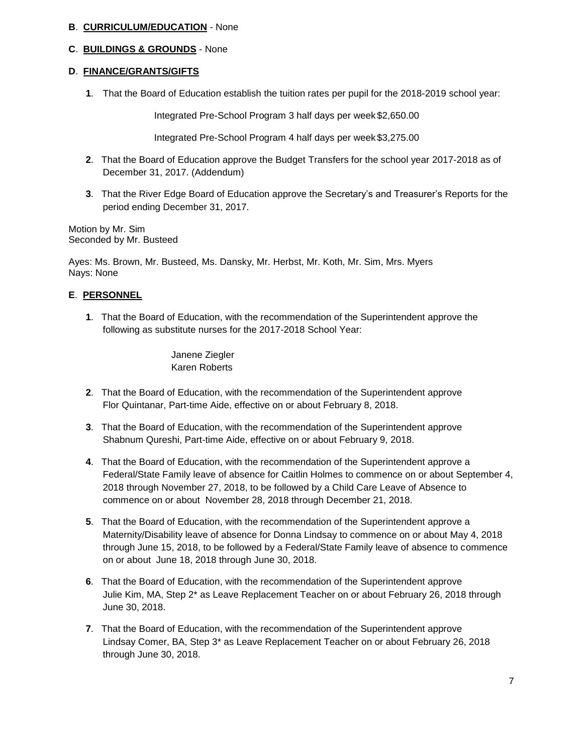## **B**. **CURRICULUM/EDUCATION** - None

#### **C**. **BUILDINGS & GROUNDS** - None

#### **D**. **FINANCE/GRANTS/GIFTS**

**1**. That the Board of Education establish the tuition rates per pupil for the 2018-2019 school year:

Integrated Pre-School Program 3 half days per week \$2,650.00

Integrated Pre-School Program 4 half days per week \$3,275.00

- **2**. That the Board of Education approve the Budget Transfers for the school year 2017-2018 as of December 31, 2017. (Addendum)
- **3**. That the River Edge Board of Education approve the Secretary's and Treasurer's Reports for the period ending December 31, 2017.

Motion by Mr. Sim Seconded by Mr. Busteed

Ayes: Ms. Brown, Mr. Busteed, Ms. Dansky, Mr. Herbst, Mr. Koth, Mr. Sim, Mrs. Myers Nays: None

## **E**. **PERSONNEL**

**1**. That the Board of Education, with the recommendation of the Superintendent approve the following as substitute nurses for the 2017-2018 School Year:

> Janene Ziegler Karen Roberts

- **2**. That the Board of Education, with the recommendation of the Superintendent approve Flor Quintanar, Part-time Aide, effective on or about February 8, 2018.
- **3**. That the Board of Education, with the recommendation of the Superintendent approve Shabnum Qureshi, Part-time Aide, effective on or about February 9, 2018.
- **4**. That the Board of Education, with the recommendation of the Superintendent approve a Federal/State Family leave of absence for Caitlin Holmes to commence on or about September 4, 2018 through November 27, 2018, to be followed by a Child Care Leave of Absence to commence on or about November 28, 2018 through December 21, 2018.
- **5**. That the Board of Education, with the recommendation of the Superintendent approve a Maternity/Disability leave of absence for Donna Lindsay to commence on or about May 4, 2018 through June 15, 2018, to be followed by a Federal/State Family leave of absence to commence on or about June 18, 2018 through June 30, 2018.
- **6**. That the Board of Education, with the recommendation of the Superintendent approve Julie Kim, MA, Step 2\* as Leave Replacement Teacher on or about February 26, 2018 through June 30, 2018.
- **7**. That the Board of Education, with the recommendation of the Superintendent approve Lindsay Comer, BA, Step 3\* as Leave Replacement Teacher on or about February 26, 2018 through June 30, 2018.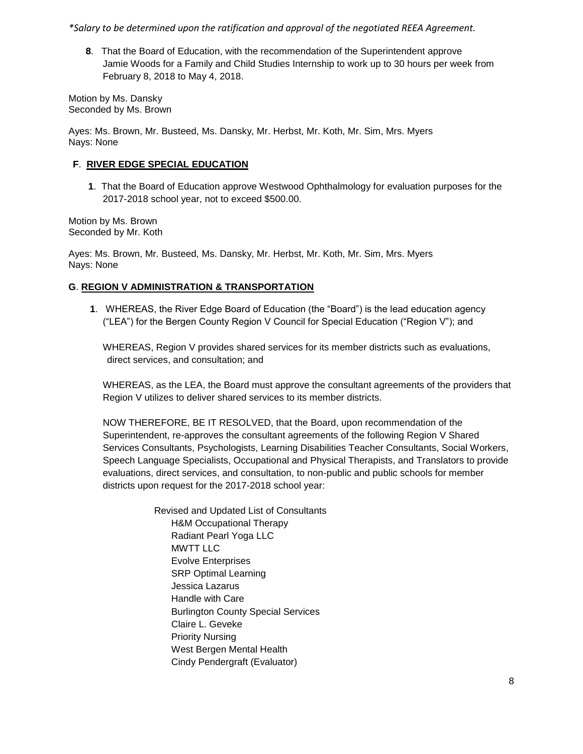*\*Salary to be determined upon the ratification and approval of the negotiated REEA Agreement.*

**8**. That the Board of Education, with the recommendation of the Superintendent approve Jamie Woods for a Family and Child Studies Internship to work up to 30 hours per week from February 8, 2018 to May 4, 2018.

Motion by Ms. Dansky Seconded by Ms. Brown

Ayes: Ms. Brown, Mr. Busteed, Ms. Dansky, Mr. Herbst, Mr. Koth, Mr. Sim, Mrs. Myers Nays: None

## **F**. **RIVER EDGE SPECIAL EDUCATION**

**1**. That the Board of Education approve Westwood Ophthalmology for evaluation purposes for the 2017-2018 school year, not to exceed \$500.00.

Motion by Ms. Brown Seconded by Mr. Koth

Ayes: Ms. Brown, Mr. Busteed, Ms. Dansky, Mr. Herbst, Mr. Koth, Mr. Sim, Mrs. Myers Nays: None

# **G**. **REGION V ADMINISTRATION & TRANSPORTATION**

**1**. WHEREAS, the River Edge Board of Education (the "Board") is the lead education agency ("LEA") for the Bergen County Region V Council for Special Education ("Region V"); and

WHEREAS, Region V provides shared services for its member districts such as evaluations, direct services, and consultation; and

WHEREAS, as the LEA, the Board must approve the consultant agreements of the providers that Region V utilizes to deliver shared services to its member districts.

NOW THEREFORE, BE IT RESOLVED, that the Board, upon recommendation of the Superintendent, re-approves the consultant agreements of the following Region V Shared Services Consultants, Psychologists, Learning Disabilities Teacher Consultants, Social Workers, Speech Language Specialists, Occupational and Physical Therapists, and Translators to provide evaluations, direct services, and consultation, to non-public and public schools for member districts upon request for the 2017-2018 school year:

> Revised and Updated List of Consultants H&M Occupational Therapy Radiant Pearl Yoga LLC MWTT LLC Evolve Enterprises SRP Optimal Learning Jessica Lazarus Handle with Care Burlington County Special Services Claire L. Geveke Priority Nursing West Bergen Mental Health Cindy Pendergraft (Evaluator)